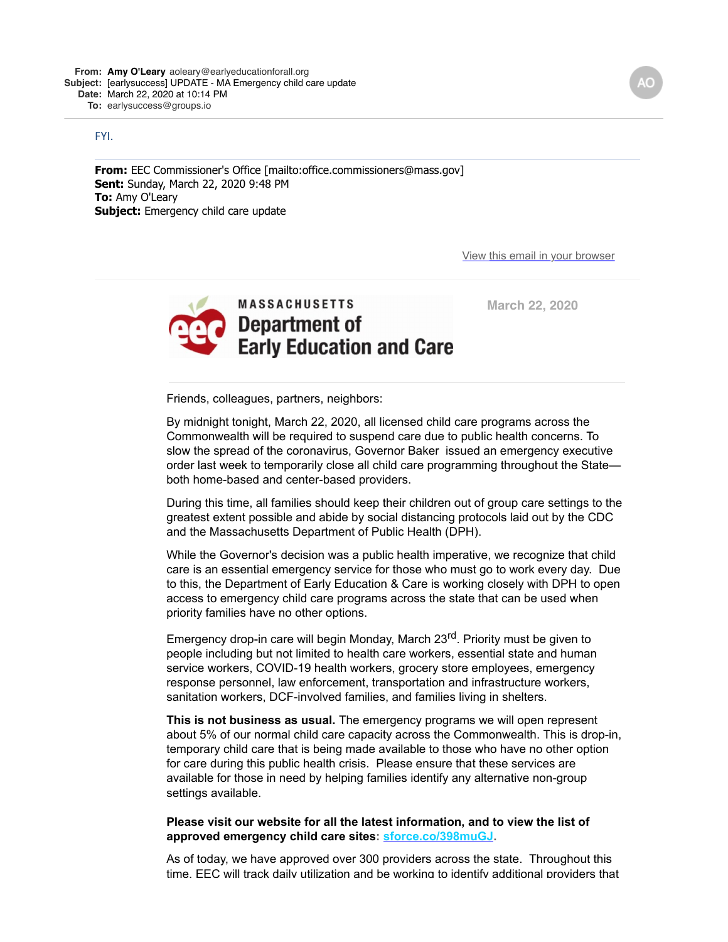## FYI.

**From:** EEC Commissioner's Office [mailto:office.commissioners@mass.gov] **Sent:** Sunday, March 22, 2020 9:48 PM **To:** Amy O'Leary **Subject:** Emergency child care update

[View this email in your browser](https://mailchi.mp/ceccf2effbd1/early-learning-networking-opportunities-1516440?e=520123610d)



 **March 22, 2020** 

Friends, colleagues, partners, neighbors:

By midnight tonight, March 22, 2020, all licensed child care programs across the Commonwealth will be required to suspend care due to public health concerns. To slow the spread of the coronavirus, Governor Baker issued an emergency executive order last week to temporarily close all child care programming throughout the State both home-based and center-based providers.

During this time, all families should keep their children out of group care settings to the greatest extent possible and abide by social distancing protocols laid out by the CDC and the Massachusetts Department of Public Health (DPH).

While the Governor's decision was a public health imperative, we recognize that child care is an essential emergency service for those who must go to work every day. Due to this, the Department of Early Education & Care is working closely with DPH to open access to emergency child care programs across the state that can be used when priority families have no other options.

Emergency drop-in care will begin Monday, March 23<sup>rd</sup>. Priority must be given to people including but not limited to health care workers, essential state and human service workers, COVID-19 health workers, grocery store employees, emergency response personnel, law enforcement, transportation and infrastructure workers, sanitation workers, DCF-involved families, and families living in shelters.

**This is not business as usual.** The emergency programs we will open represent about 5% of our normal child care capacity across the Commonwealth. This is drop-in, temporary child care that is being made available to those who have no other option for care during this public health crisis. Please ensure that these services are available for those in need by helping families identify any alternative non-group settings available.

## **Please visit our website for all the latest information, and to view the list of approved emergency child care sites: [sforce.co/398muGJ](https://doe.us13.list-manage.com/track/click?u=74ce63412efa7f6c8b38b2606&id=467c86ab33&e=520123610d).**

As of today, we have approved over 300 providers across the state. Throughout this time, EEC will track daily utilization and be working to identify additional providers that